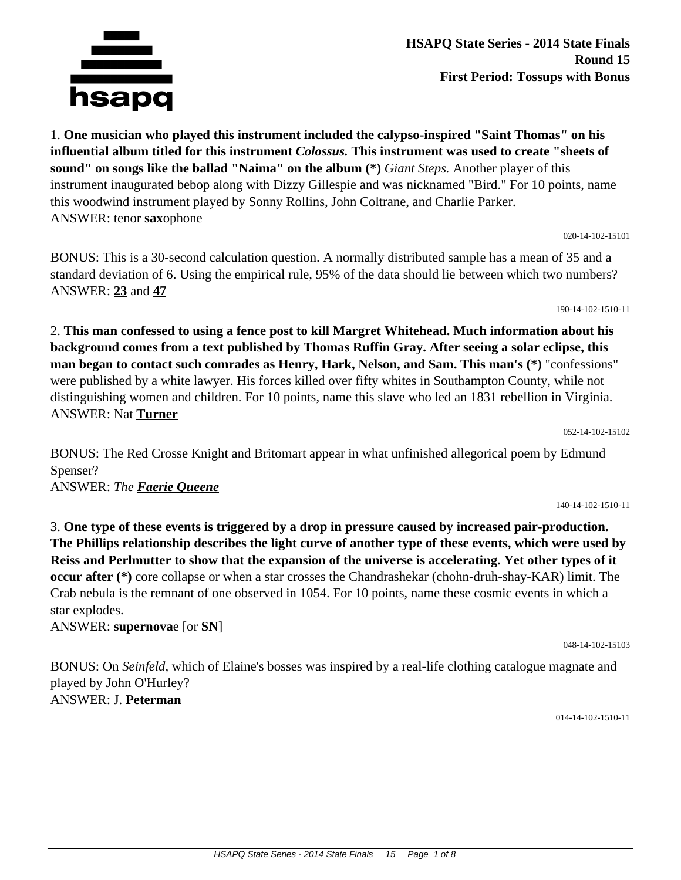**HSAPQ State Series - 2014 State Finals Round 15 First Period: Tossups with Bonus**

1. **One musician who played this instrument included the calypso-inspired "Saint Thomas" on his influential album titled for this instrument** *Colossus.* **This instrument was used to create "sheets of sound" on songs like the ballad "Naima" on the album (\*)** *Giant Steps.* Another player of this instrument inaugurated bebop along with Dizzy Gillespie and was nicknamed "Bird." For 10 points, name this woodwind instrument played by Sonny Rollins, John Coltrane, and Charlie Parker. ANSWER: tenor **sax**ophone

020-14-102-15101

BONUS: This is a 30-second calculation question. A normally distributed sample has a mean of 35 and a standard deviation of 6. Using the empirical rule, 95% of the data should lie between which two numbers? ANSWER: **23** and **47**

2. **This man confessed to using a fence post to kill Margret Whitehead. Much information about his background comes from a text published by Thomas Ruffin Gray. After seeing a solar eclipse, this man began to contact such comrades as Henry, Hark, Nelson, and Sam. This man's (\*)** "confessions" were published by a white lawyer. His forces killed over fifty whites in Southampton County, while not distinguishing women and children. For 10 points, name this slave who led an 1831 rebellion in Virginia. ANSWER: Nat **Turner**

BONUS: The Red Crosse Knight and Britomart appear in what unfinished allegorical poem by Edmund Spenser? ANSWER: *The Faerie Queene*

3. **One type of these events is triggered by a drop in pressure caused by increased pair-production. The Phillips relationship describes the light curve of another type of these events, which were used by Reiss and Perlmutter to show that the expansion of the universe is accelerating. Yet other types of it occur after (\*)** core collapse or when a star crosses the Chandrashekar (chohn-druh-shay-KAR) limit. The Crab nebula is the remnant of one observed in 1054. For 10 points, name these cosmic events in which a star explodes.

ANSWER: **supernova**e [or **SN**]

BONUS: On *Seinfeld,* which of Elaine's bosses was inspired by a real-life clothing catalogue magnate and played by John O'Hurley? ANSWER: J. **Peterman**

014-14-102-1510-11

048-14-102-15103

## hsapq

190-14-102-1510-11

140-14-102-1510-11

052-14-102-15102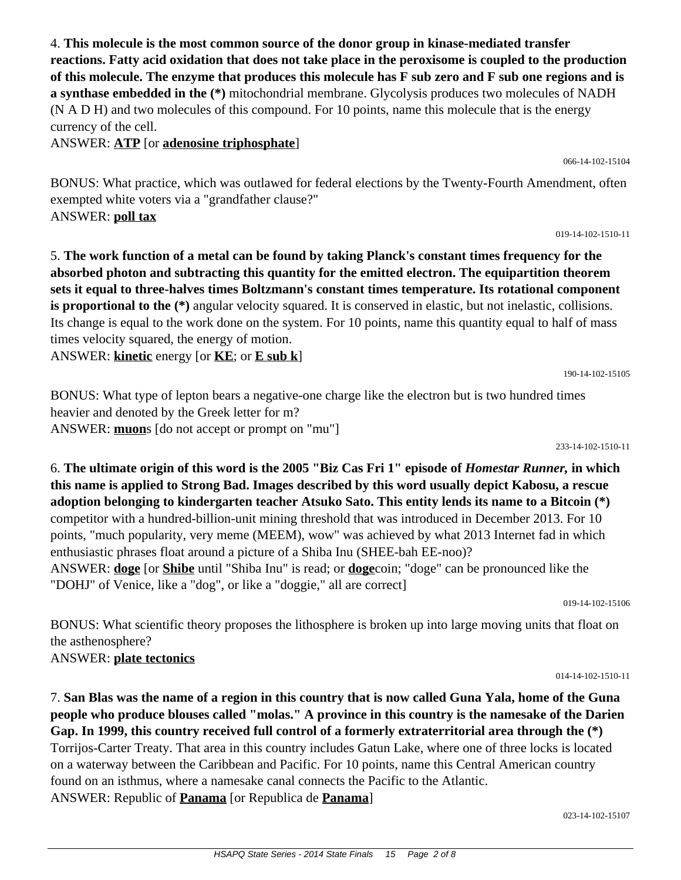4. **This molecule is the most common source of the donor group in kinase-mediated transfer reactions. Fatty acid oxidation that does not take place in the peroxisome is coupled to the production of this molecule. The enzyme that produces this molecule has F sub zero and F sub one regions and is a synthase embedded in the (\*)** mitochondrial membrane. Glycolysis produces two molecules of NADH (N A D H) and two molecules of this compound. For 10 points, name this molecule that is the energy currency of the cell.

ANSWER: **ATP** [or **adenosine triphosphate**]

BONUS: What practice, which was outlawed for federal elections by the Twenty-Fourth Amendment, often exempted white voters via a "grandfather clause?" ANSWER: **poll tax**

5. **The work function of a metal can be found by taking Planck's constant times frequency for the absorbed photon and subtracting this quantity for the emitted electron. The equipartition theorem sets it equal to three-halves times Boltzmann's constant times temperature. Its rotational component is proportional to the (\*)** angular velocity squared. It is conserved in elastic, but not inelastic, collisions. Its change is equal to the work done on the system. For 10 points, name this quantity equal to half of mass times velocity squared, the energy of motion.

ANSWER: **kinetic** energy [or **KE**; or **E sub k**]

BONUS: What type of lepton bears a negative-one charge like the electron but is two hundred times heavier and denoted by the Greek letter for m? ANSWER: **muon**s [do not accept or prompt on "mu"]

6. **The ultimate origin of this word is the 2005 "Biz Cas Fri 1" episode of** *Homestar Runner,* **in which this name is applied to Strong Bad. Images described by this word usually depict Kabosu, a rescue adoption belonging to kindergarten teacher Atsuko Sato. This entity lends its name to a Bitcoin (\*)** competitor with a hundred-billion-unit mining threshold that was introduced in December 2013. For 10 points, "much popularity, very meme (MEEM), wow" was achieved by what 2013 Internet fad in which enthusiastic phrases float around a picture of a Shiba Inu (SHEE-bah EE-noo)? ANSWER: **doge** [or **Shibe** until "Shiba Inu" is read; or **doge**coin; "doge" can be pronounced like the "DOHJ" of Venice, like a "dog", or like a "doggie," all are correct]

BONUS: What scientific theory proposes the lithosphere is broken up into large moving units that float on the asthenosphere? ANSWER: **plate tectonics**

7. **San Blas was the name of a region in this country that is now called Guna Yala, home of the Guna people who produce blouses called "molas." A province in this country is the namesake of the Darien Gap. In 1999, this country received full control of a formerly extraterritorial area through the (\*)** Torrijos-Carter Treaty. That area in this country includes Gatun Lake, where one of three locks is located on a waterway between the Caribbean and Pacific. For 10 points, name this Central American country found on an isthmus, where a namesake canal connects the Pacific to the Atlantic. ANSWER: Republic of **Panama** [or Republica de **Panama**]

023-14-102-15107

019-14-102-15106

019-14-102-1510-11

066-14-102-15104

## 014-14-102-1510-11

190-14-102-15105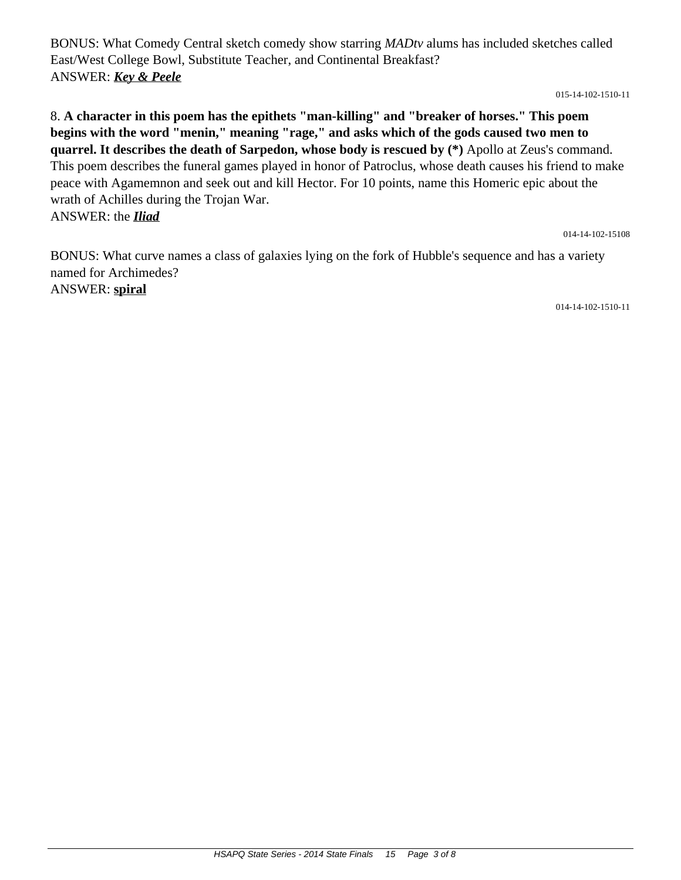BONUS: What Comedy Central sketch comedy show starring *MADtv* alums has included sketches called East/West College Bowl, Substitute Teacher, and Continental Breakfast? ANSWER: *Key & Peele*

015-14-102-1510-11

8. **A character in this poem has the epithets "man-killing" and "breaker of horses." This poem begins with the word "menin," meaning "rage," and asks which of the gods caused two men to quarrel. It describes the death of Sarpedon, whose body is rescued by (\*)** Apollo at Zeus's command. This poem describes the funeral games played in honor of Patroclus, whose death causes his friend to make peace with Agamemnon and seek out and kill Hector. For 10 points, name this Homeric epic about the wrath of Achilles during the Trojan War. ANSWER: the *Iliad*

014-14-102-15108

BONUS: What curve names a class of galaxies lying on the fork of Hubble's sequence and has a variety named for Archimedes? ANSWER: **spiral**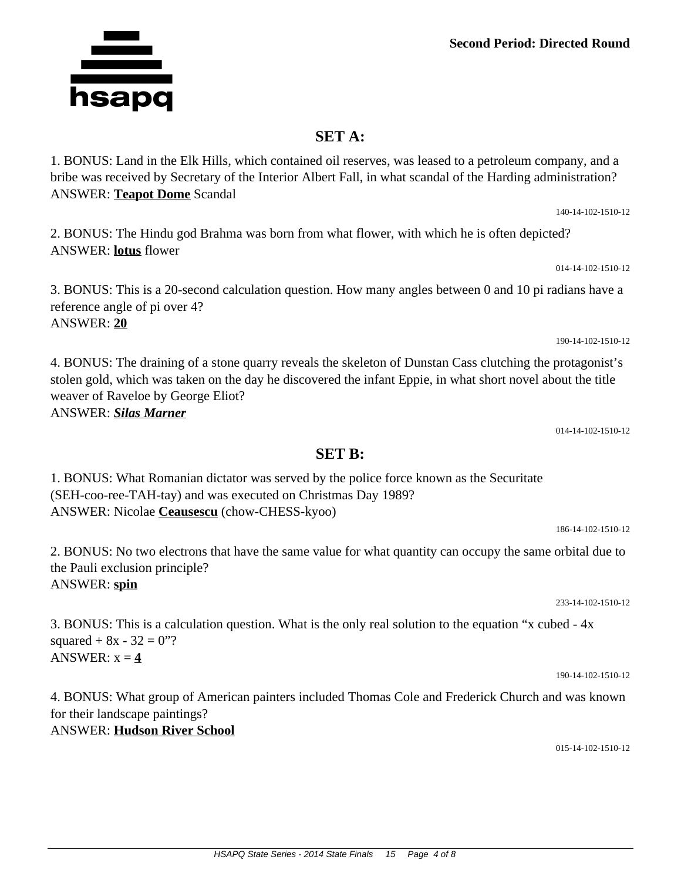## **SET A:**

1. BONUS: Land in the Elk Hills, which contained oil reserves, was leased to a petroleum company, and a bribe was received by Secretary of the Interior Albert Fall, in what scandal of the Harding administration? ANSWER: **Teapot Dome** Scandal

2. BONUS: The Hindu god Brahma was born from what flower, with which he is often depicted? ANSWER: **lotus** flower

3. BONUS: This is a 20-second calculation question. How many angles between 0 and 10 pi radians have a reference angle of pi over 4? ANSWER: **20**

4. BONUS: The draining of a stone quarry reveals the skeleton of Dunstan Cass clutching the protagonist's stolen gold, which was taken on the day he discovered the infant Eppie, in what short novel about the title weaver of Raveloe by George Eliot? ANSWER: *Silas Marner*

014-14-102-1510-12

1. BONUS: What Romanian dictator was served by the police force known as the Securitate (SEH-coo-ree-TAH-tay) and was executed on Christmas Day 1989? ANSWER: Nicolae **Ceausescu** (chow-CHESS-kyoo)

2. BONUS: No two electrons that have the same value for what quantity can occupy the same orbital due to the Pauli exclusion principle? ANSWER: **spin**

3. BONUS: This is a calculation question. What is the only real solution to the equation "x cubed - 4x squared  $+ 8x - 32 = 0$ "? ANSWER:  $x = 4$ 

4. BONUS: What group of American painters included Thomas Cole and Frederick Church and was known for their landscape paintings? ANSWER: **Hudson River School**

015-14-102-1510-12

## **SET B:**

186-14-102-1510-12

233-14-102-1510-12



014-14-102-1510-12

190-14-102-1510-12

140-14-102-1510-12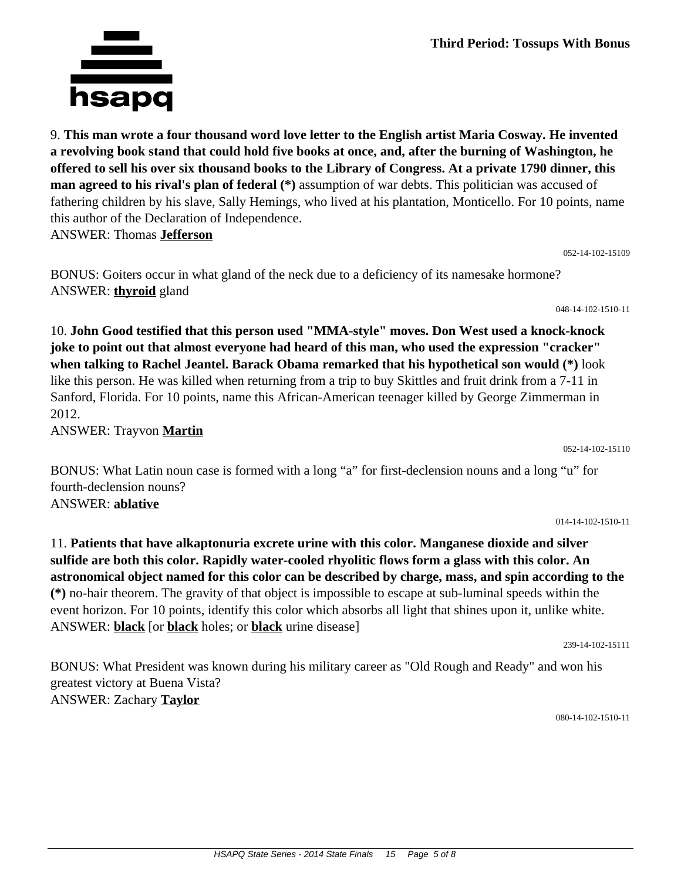**Third Period: Tossups With Bonus**

9. **This man wrote a four thousand word love letter to the English artist Maria Cosway. He invented a revolving book stand that could hold five books at once, and, after the burning of Washington, he offered to sell his over six thousand books to the Library of Congress. At a private 1790 dinner, this man agreed to his rival's plan of federal (\*)** assumption of war debts. This politician was accused of fathering children by his slave, Sally Hemings, who lived at his plantation, Monticello. For 10 points, name this author of the Declaration of Independence. ANSWER: Thomas **Jefferson**

BONUS: Goiters occur in what gland of the neck due to a deficiency of its namesake hormone? ANSWER: **thyroid** gland

10. **John Good testified that this person used "MMA-style" moves. Don West used a knock-knock joke to point out that almost everyone had heard of this man, who used the expression "cracker" when talking to Rachel Jeantel. Barack Obama remarked that his hypothetical son would (\*)** look like this person. He was killed when returning from a trip to buy Skittles and fruit drink from a 7-11 in Sanford, Florida. For 10 points, name this African-American teenager killed by George Zimmerman in 2012.

ANSWER: Trayvon **Martin**

BONUS: What Latin noun case is formed with a long "a" for first-declension nouns and a long "u" for fourth-declension nouns? ANSWER: **ablative**

014-14-102-1510-11

052-14-102-15110

11. **Patients that have alkaptonuria excrete urine with this color. Manganese dioxide and silver sulfide are both this color. Rapidly water-cooled rhyolitic flows form a glass with this color. An astronomical object named for this color can be described by charge, mass, and spin according to the (\*)** no-hair theorem. The gravity of that object is impossible to escape at sub-luminal speeds within the event horizon. For 10 points, identify this color which absorbs all light that shines upon it, unlike white. ANSWER: **black** [or **black** holes; or **black** urine disease]

239-14-102-15111

BONUS: What President was known during his military career as "Old Rough and Ready" and won his greatest victory at Buena Vista? ANSWER: Zachary **Taylor**

080-14-102-1510-11



052-14-102-15109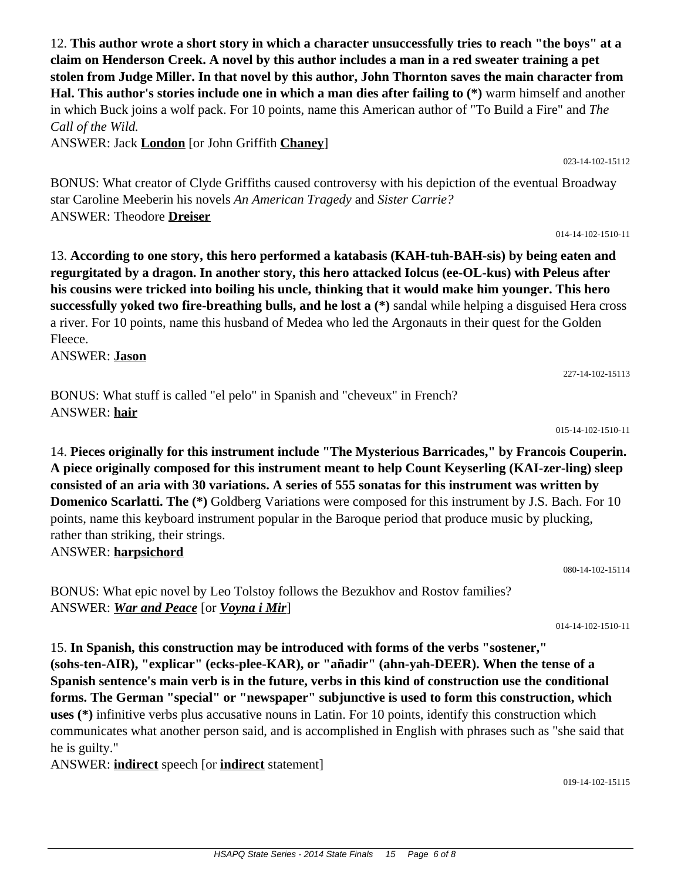12. **This author wrote a short story in which a character unsuccessfully tries to reach "the boys" at a claim on Henderson Creek. A novel by this author includes a man in a red sweater training a pet stolen from Judge Miller. In that novel by this author, John Thornton saves the main character from Hal. This author's stories include one in which a man dies after failing to (\*)** warm himself and another in which Buck joins a wolf pack. For 10 points, name this American author of "To Build a Fire" and *The Call of the Wild.*

ANSWER: Jack **London** [or John Griffith **Chaney**]

BONUS: What creator of Clyde Griffiths caused controversy with his depiction of the eventual Broadway star Caroline Meeberin his novels *An American Tragedy* and *Sister Carrie?* ANSWER: Theodore **Dreiser**

13. **According to one story, this hero performed a katabasis (KAH-tuh-BAH-sis) by being eaten and regurgitated by a dragon. In another story, this hero attacked Iolcus (ee-OL-kus) with Peleus after his cousins were tricked into boiling his uncle, thinking that it would make him younger. This hero successfully yoked two fire-breathing bulls, and he lost a (\*)** sandal while helping a disguised Hera cross a river. For 10 points, name this husband of Medea who led the Argonauts in their quest for the Golden Fleece.

ANSWER: **Jason**

BONUS: What stuff is called "el pelo" in Spanish and "cheveux" in French? ANSWER: **hair**

14. **Pieces originally for this instrument include "The Mysterious Barricades," by Francois Couperin. A piece originally composed for this instrument meant to help Count Keyserling (KAI-zer-ling) sleep consisted of an aria with 30 variations. A series of 555 sonatas for this instrument was written by Domenico Scarlatti. The (\*)** Goldberg Variations were composed for this instrument by J.S. Bach. For 10 points, name this keyboard instrument popular in the Baroque period that produce music by plucking, rather than striking, their strings. ANSWER: **harpsichord**

080-14-102-15114

BONUS: What epic novel by Leo Tolstoy follows the Bezukhov and Rostov families? ANSWER: *War and Peace* [or *Voyna i Mir*]

014-14-102-1510-11

15. **In Spanish, this construction may be introduced with forms of the verbs "sostener," (sohs-ten-AIR), "explicar" (ecks-plee-KAR), or "añadir" (ahn-yah-DEER). When the tense of a Spanish sentence's main verb is in the future, verbs in this kind of construction use the conditional forms. The German "special" or "newspaper" subjunctive is used to form this construction, which uses (\*)** infinitive verbs plus accusative nouns in Latin. For 10 points, identify this construction which communicates what another person said, and is accomplished in English with phrases such as "she said that he is guilty."

ANSWER: **indirect** speech [or **indirect** statement]

014-14-102-1510-11

023-14-102-15112

019-14-102-15115

227-14-102-15113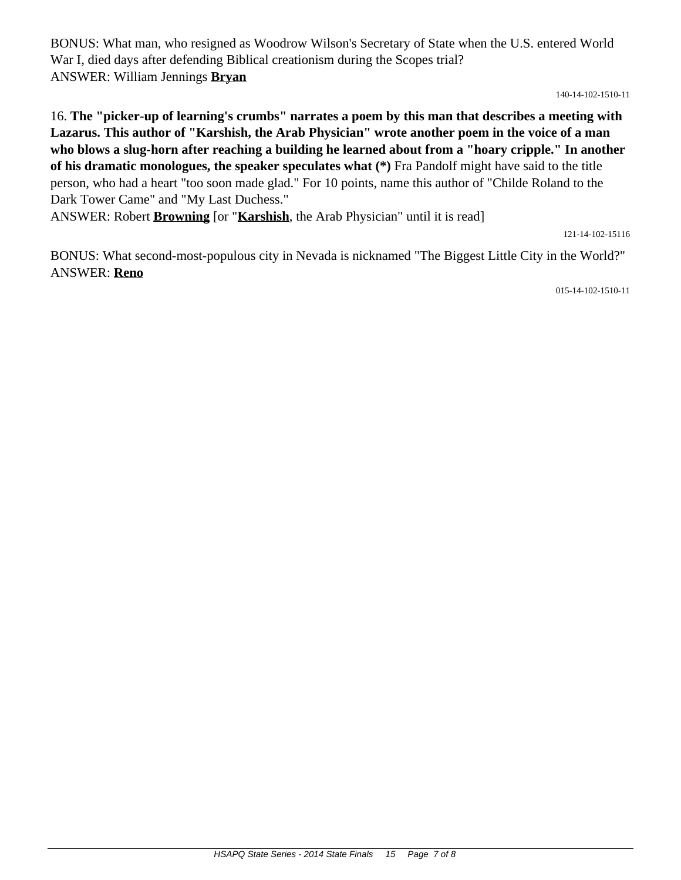BONUS: What man, who resigned as Woodrow Wilson's Secretary of State when the U.S. entered World War I, died days after defending Biblical creationism during the Scopes trial? ANSWER: William Jennings **Bryan**

140-14-102-1510-11

16. **The "picker-up of learning's crumbs" narrates a poem by this man that describes a meeting with Lazarus. This author of "Karshish, the Arab Physician" wrote another poem in the voice of a man who blows a slug-horn after reaching a building he learned about from a "hoary cripple." In another of his dramatic monologues, the speaker speculates what (\*)** Fra Pandolf might have said to the title person, who had a heart "too soon made glad." For 10 points, name this author of "Childe Roland to the Dark Tower Came" and "My Last Duchess."

ANSWER: Robert **Browning** [or "**Karshish**, the Arab Physician" until it is read]

121-14-102-15116

BONUS: What second-most-populous city in Nevada is nicknamed "The Biggest Little City in the World?" ANSWER: **Reno**